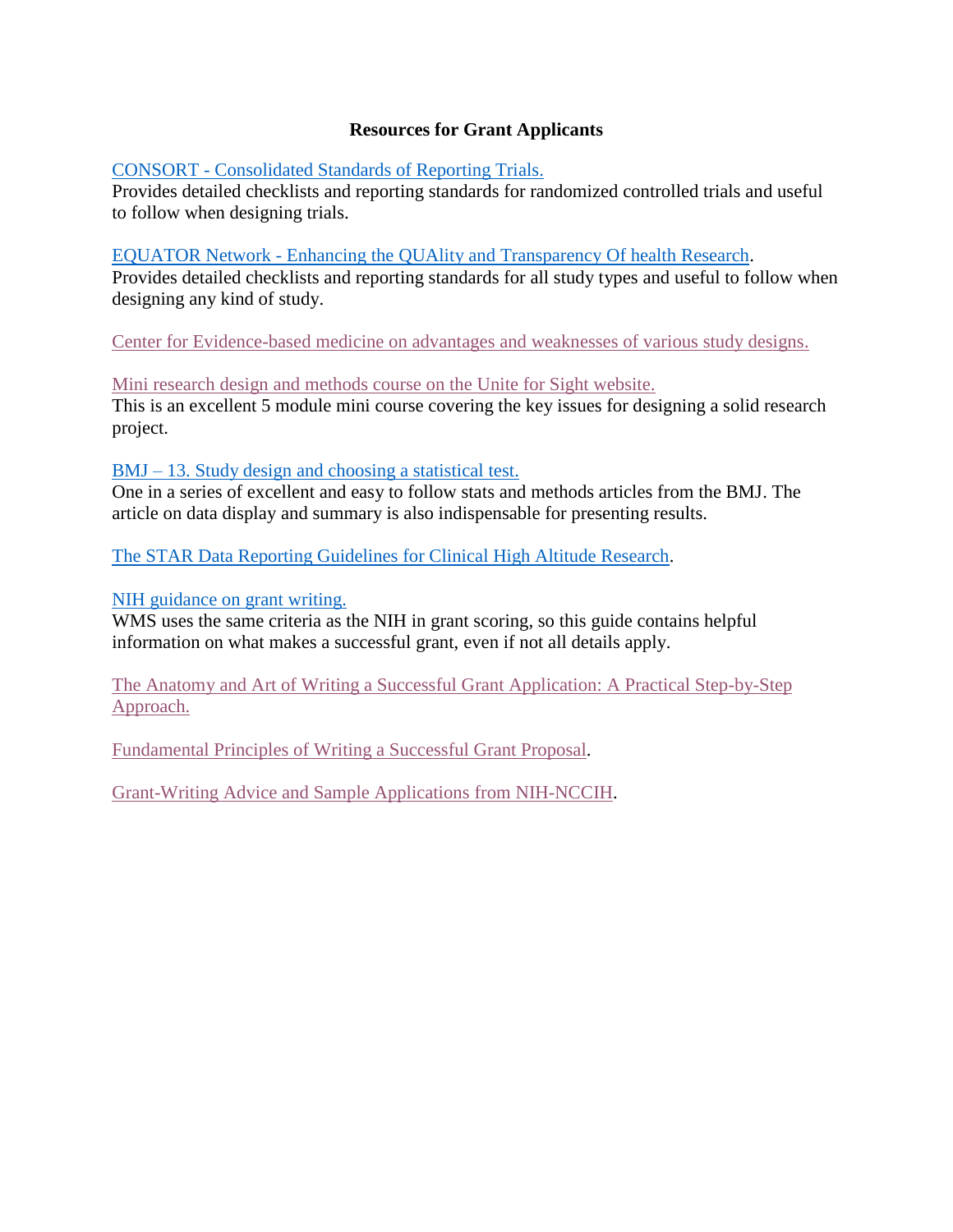# **Resources for Grant Applicants**

# CONSORT - [Consolidated Standards of Reporting Trials.](http://www.consort-statement.org/)

Provides detailed checklists and reporting standards for randomized controlled trials and useful to follow when designing trials.

# EQUATOR Network - [Enhancing the QUAlity and Transparency Of health Research.](http://www.equator-network.org/)

Provides detailed checklists and reporting standards for all study types and useful to follow when designing any kind of study.

[Center for Evidence-based medicine on advantages and weaknesses of various study designs.](http://www.cebm.net/study-designs/)

[Mini research design and methods course](http://www.uniteforsight.org/research-methodology/module1) on the Unite for Sight website. This is an excellent 5 module mini course covering the key issues for designing a solid research project.

# BMJ – [13. Study design and choosing a statistical test.](http://www.bmj.com/about-bmj/resources-readers/publications/statistics-square-one/13-study-design-and-choosing-statisti)

One in a series of excellent and easy to follow stats and methods articles from the BMJ. The article on data display and summary is also indispensable for presenting results.

[The STAR Data Reporting Guidelines for Clinical High Altitude Research.](http://online.liebertpub.com/doi/pdf/10.1089/ham.2017.0160)

# [NIH guidance on grant writing.](https://grants.nih.gov/grants/how-to-apply-application-guide/format-and-write/write-your-application.htm)

WMS uses the same criteria as the NIH in grant scoring, so this guide contains helpful information on what makes a successful grant, even if not all details apply.

[The Anatomy and Art of Writing a Successful Grant Application: A Practical Step-by-Step](http://crl.med.harvard.edu/publications/Year/2014%20Papers/Gholipour%20Writing%20Grant%20Application%202-10-2014%20AG-skw%20FINAL%20CLEAN+EYL%20FINAL+AG%20FINAL%20CHECK%2002_21_2014.pdf)  [Approach.](http://crl.med.harvard.edu/publications/Year/2014%20Papers/Gholipour%20Writing%20Grant%20Application%202-10-2014%20AG-skw%20FINAL%20CLEAN+EYL%20FINAL+AG%20FINAL%20CHECK%2002_21_2014.pdf)

[Fundamental Principles of Writing a Successful Grant Proposal.](https://t32gisurgery.ucsf.edu/media/9539462/Fundamental-Principals_Successful-Grants_Chung_Shauver.pdf)

[Grant-Writing Advice and Sample Applications](https://nccih.nih.gov/grants/resources/grantwrite-advice.htm) from NIH-NCCIH.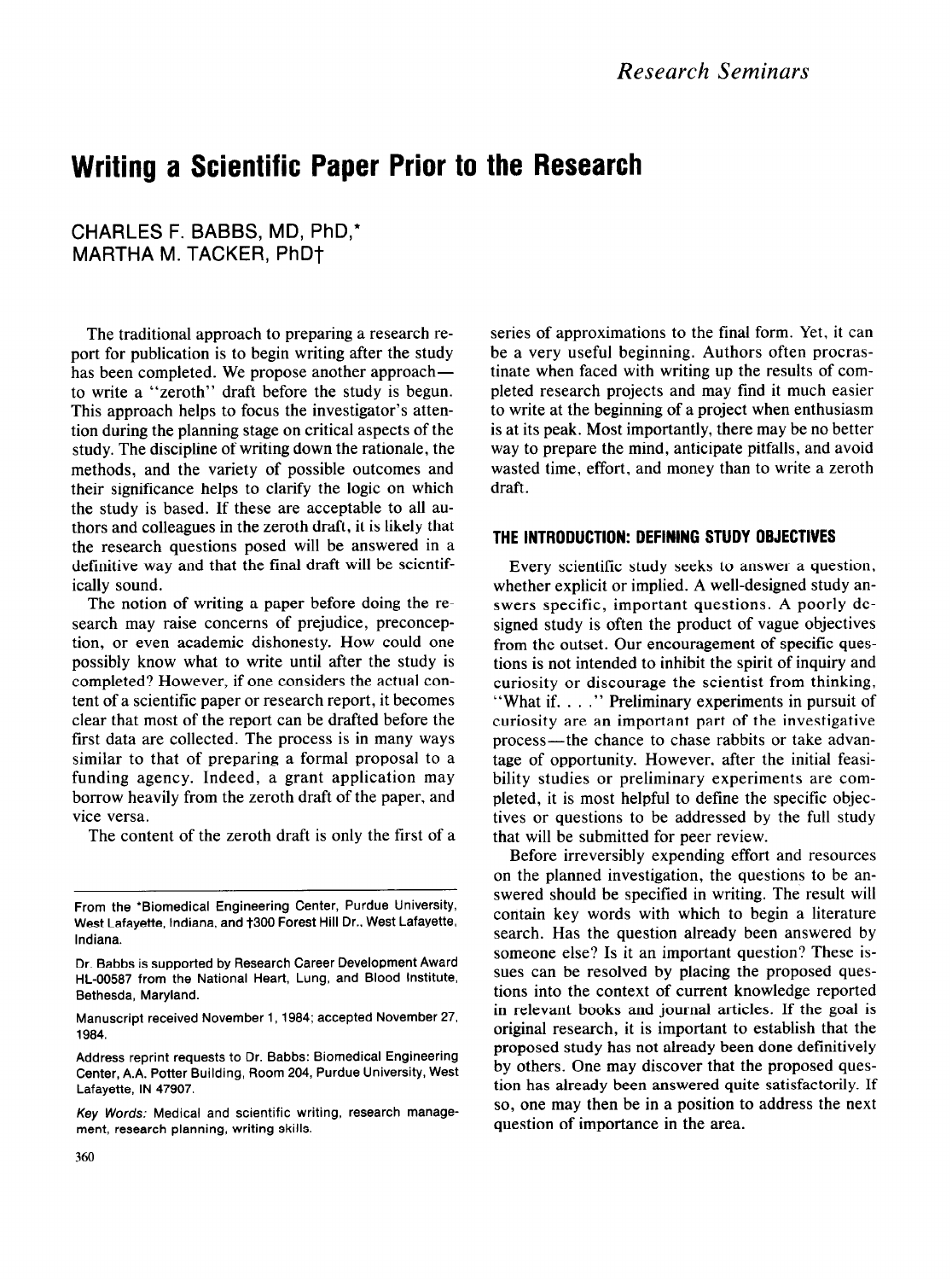# **Writing a Scientific Paper Prior to the Research**

CHARLES F. BABBS, MD, PhD,\* MARTHA M. TACKER, PhDt

The traditional approach to preparing a research report for publication is to begin writing after the study has been completed. We propose another approachto write a "zeroth" draft before the study is begun. This approach helps to focus the investigator's attention during the planning stage on critical aspects of the study. The discipline of writing down the rationale, the methods, and the variety of possible outcomes and their significance helps to clarify the logic on which the study is based. If these are acceptable to all authors and colleagues in the zeroth draft, it is likely that the research questions posed will be answered in a definitive way and that the final draft will be scientifically sound.

The notion of writing a paper before doing the research may raise concerns of prejudice, preconception, or even academic dishonesty. How could one possibly know what to write until after the study is completed? However, if one considers the actual content of a scientific paper or research report, it becomes clear that most of the report can be drafted before the first data are collected. The process is in many ways similar to that of preparing a formal proposal to a funding agency. Indeed, a grant application may borrow heavily from the zeroth draft of the paper, and vice versa.

The content of the zeroth draft is only the first of a

Manuscript received November 1, 1984; accepted November 27, 1984.

Address reprint requests to Dr. Babbs: Biomedical Engineering Center, A.A. Potter Building, Room 204, Purdue University, West Lafayette, IN 47907.

*Key Words:* Medical and scientific writing, research management, research planning, writing skills.

series of approximations to the final form. Yet, it can be a very useful beginning. Authors often procrastinate when faced with writing up the results of completed research projects and may find it much easier to write at the beginning of a project when enthusiasm is at its peak. Most importantly, there may be no better way to prepare the mind, anticipate pitfalls, and avoid wasted time, effort, and money than to write a zeroth draft.

### **THE INTRODUCTION: DEFINING STUDY OBJECTIVES**

Every scientific study seeks to answer a question, whether explicit or implied. A well-designed study answers specific, important questions. A poorly designed study is often the product of vague objectives from the outset. Our encouragement of specific questions is not intended to inhibit the spirit of inquiry and curiosity or discourage the scientist from thinking, "What if. . . ." Preliminary experiments in pursuit of curiosity are an important part of the investigative process-the chance to chase rabbits or take advantage of opportunity. However, after the initial feasibility studies or preliminary experiments are completed, it is most helpful to define the specific objectives or questions to be addressed by the full study that will be submitted for peer review.

Before irreversibly expending effort and resources on the planned investigation, the questions to be answered should be specified in writing. The result will contain key words with which to begin a literature search. Has the question already been answered by someone else? Is it an important question? These issues can be resolved by placing the proposed questions into the context of current knowledge reported in relevant books and journal articles. If the goal is original research, it is important to establish that the proposed study has not already been done definitively by others. One may discover that the proposed question has already been answered quite satisfactorily. If so, one may then be in a position to address the next question of importance in the area.

From the \*Biomedical Engineering Center, Purdue University, West Lafayette, Indiana, and t300 Forest Hill Dr., West Lafayette, Indiana.

Dr. Babbs is supported by Research Career Development Award HL-00587 from the National Heart, Lung, and Blood Institute, Bethesda, Maryland.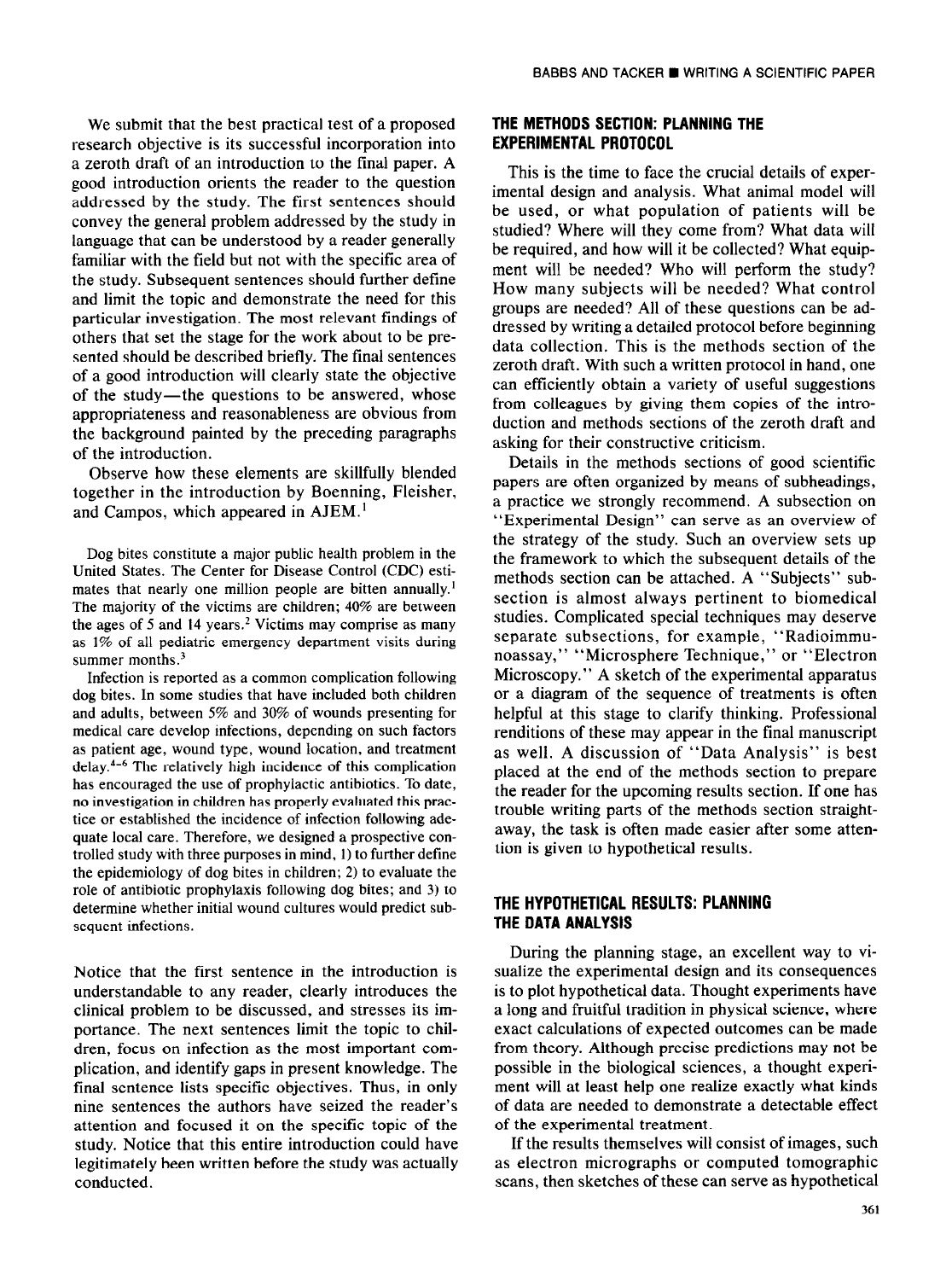We submit that the best practical test of a proposed research objective is its successful incorporation into a zeroth draft of an introduction to the final paper. A good introduction orients the reader to the question addressed by the study. The first sentences should convey the general problem addressed by the study in language that can be understood by a reader generally familiar with the field but not with the specific area of the study. Subsequent sentences should further define and limit the topic and demonstrate the need for this particular investigation. The most relevant findings of others that set the stage for the work about to be presented should be described briefly. The final sentences of a good introduction will clearly state the objective of the study-the questions to be answered, whose appropriateness and reasonableness are obvious from the background painted by the preceding paragraphs of the introduction.

Observe how these elements are skillfully blended together in the introduction by Boenning, Fleisher, and Campos, which appeared in AJEM.'

Dog bites constitute a major public health problem in the United States. The Center for Disease Control (CDC) estimates that nearly one million people are bitten annually.' The majority of the victims are children; 40% are between the ages of 5 and 14 years.<sup>2</sup> Victims may comprise as many as 1% of all pediatric emergency department visits during summer months.<sup>3</sup>

Infection is reported as a common complication following dog bites. In some studies that have included both children and adults, between 5% and 30% of wounds presenting for medical care develop infections, depending on such factors as patient age, wound type, wound location, and treatment delay.4-6 The relatively high incidence of this complication has encouraged the use of prophylactic antibiotics. To date, no investigation in children has properly evaluated this practice or established the incidence of infection following adequate local care. Therefore, we designed a prospective controlled study with three purposes in mind, 1) to further define the epidemiology of dog bites in children; 2) to evaluate the role of antibiotic prophylaxis following dog bites; and 3) to determine whether initial wound cultures would predict subsequent infections.

Notice that the first sentence in the introduction is understandable to any reader, clearly introduces the clinical problem to be discussed, and stresses its importance. The next sentences limit the topic to children, focus on infection as the most important complication, and identify gaps in present knowledge. The final sentence lists specific objectives. Thus, in only nine sentences the authors have seized the reader's attention and focused it on the specific topic of the study. Notice that this entire introduction could have legitimately been written before the study was actually conducted.

## **THE METHODS SECTION: PLANNING THE EXPERIMENTAL PROTOCOL**

This is the time to face the crucial details of experimental design and analysis. What animal model will be used, or what population of patients will be studied? Where will they come from? What data will be required, and how will it be collected? What equipment will be needed? Who will perform the study? How many subjects will be needed? What control groups are needed? All of these questions can be addressed by writing a detailed protocol before beginning data collection. This is the methods section of the zeroth draft. With such a written protocol in hand, one can efficiently obtain a variety of useful suggestions from colleagues by giving them copies of the introduction and methods sections of the zeroth draft and asking for their constructive criticism.

Details in the methods sections of good scientific papers are often organized by means of subheadings, a practice we strongly recommend. A subsection on "Experimental Design" can serve as an overview of the strategy of the study. Such an overview sets up the framework to which the subsequent details of the methods section can be attached. A "Subjects" subsection is almost always pertinent to biomedical studies. Complicated special techniques may deserve separate subsections, for example, "Radioimmunoassay, " "Microsphere Technique," or "Electron Microscopy." A sketch of the experimental apparatus or a diagram of the sequence of treatments is often helpful at this stage to clarify thinking. Professional renditions of these may appear in the final manuscript as well. A discussion of "Data Analysis" is best placed at the end of the methods section to prepare the reader for the upcoming results section. If one has trouble writing parts of the methods section straightaway, the task is often made easier after some attention is given to hypothetical results.

## **THE HYPOTHETICAL RESULTS: PLANNING THE DATA ANALYSIS**

During the planning stage, an excellent way to visualize the experimental design and its consequences is to plot hypothetical data. Thought experiments have a long and fruitful tradition in physical science, where exact calculations of expected outcomes can be made from theory. Although precise predictions may not be possible in the biological sciences, a thought experiment will at least help one realize exactly what kinds of data are needed to demonstrate a detectable effect of the experimental treatment.

If the results themselves will consist of images, such as electron micrographs or computed tomographic scans, then sketches of these can serve as hypothetical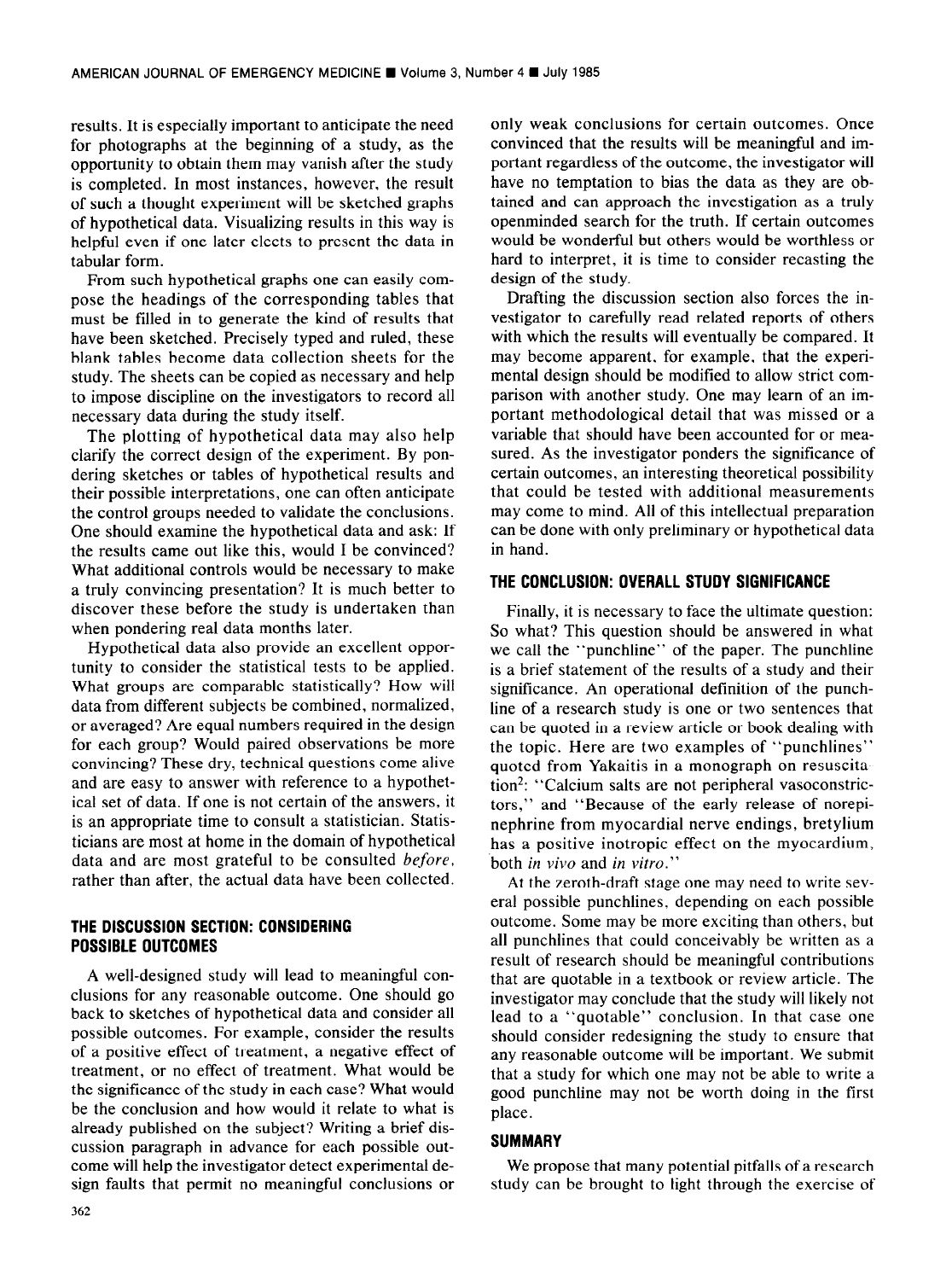results. It is especially important to anticipate the need for photographs at the beginning of a study, as the opportunity to obtain them may vanish after the study is completed. In most instances, however, the result of such a thought experiment will be sketched graphs of hypothetical data. Visualizing results in this way is helpful even if one later elects to present the data in tabular form.

From such hypothetical graphs one can easily compose the headings of the corresponding tables that must be filled in to generate the kind of results that have been sketched. Precisely typed and ruled, these blank tables become data collection sheets for the study. The sheets can be copied as necessary and help to impose discipline on the investigators to record all necessary data during the study itself.

The plotting of hypothetical data may also help clarify the correct design of the experiment. By pondering sketches or tables of hypothetical results and their possible interpretations, one can often anticipate the control groups needed to validate the conclusions. One should examine the hypothetical data and ask: If the results came out like this, would I be convinced? What additional controls would be necessary to make a truly convincing presentation? It is much better to discover these before the study is undertaken than when pondering real data months later.

Hypothetical data also provide an excellent opportunity to consider the statistical tests to be applied. What groups are comparable statistically? How will data from different subjects be combined, normalized, or averaged? Are equal numbers required in the design for each group? Would paired observations be more convincing? These dry, technical questions come alive and are easy to answer with reference to a hypothetical set of data. If one is not certain of the answers, it is an appropriate time to consult a statistician. Statisticians are most at home in the domain of hypothetical data and are most grateful to be consulted *before,*  rather than after, the actual data have been collected.

### **THE DISCUSSION SECTION: CONSIDERING POSSIBLE OUTCOMES**

**A** well-designed study will lead to meaningful conclusions for any reasonable outcome. One should go back to sketches of hypothetical data and consider all possible outcomes. For example, consider the results of a positive effect of treatment, a negative effect of treatment, or no effect of treatment. What would be the significance of the study in each case? What would be the conclusion and how would it relate to what is already published on the subject? Writing a brief discussion paragraph in advance for each possible outcome will help the investigator detect experimental design faults that permit no meaningful conclusions or

only weak conclusions for certain outcomes. Once convinced that the results will be meaningful and important regardless of the outcome, the investigator will have no temptation to bias the data as they are obtained and can approach the investigation as a truly openminded search for the truth. If certain outcomes would be wonderful but others would be worthless or hard to interpret, it is time to consider recasting the design of the study.

Drafting the discussion section also forces the investigator to carefully read related reports of others with which the results will eventually be compared. It may become apparent, for example, that the experimental design should be modified to allow strict comparison with another study. One may learn of an important methodological detail that was missed or a variable that should have been accounted for or measured. As the investigator ponders the significance of certain outcomes, an interesting theoretical possibility that could be tested with additional measurements may come to mind. All of this intellectual preparation can be done with only preliminary or hypothetical data in hand.

#### **THE CONCLUSION: OVERALL STUDY SIGNIFICANCE**

Finally, it is necessary to face the ultimate question: So what? This question should be answered in what we call the "punchline" of the paper. The punchline is a brief statement of the results of a study and their significance. An operational definition of the punchline of a research study is one or two sentences that can be quoted in a review article or book dealing with the topic. Here are two examples of "punchlines" quoted from Yakaitis in a monograph on resuscitation<sup>2</sup>: "Calcium salts are not peripheral vasoconstrictors," and "Because of the early release of norepinephrine from myocardial nerve endings, bretylium has a positive inotropic effect on the myocardium, both *in vivo* and *in vitro."* 

At the zeroth-draft stage one may need to write several possible punchlines, depending on each possible outcome. Some may be more exciting than others, but all punchlines that could conceivably be written as a result of research should be meaningful contributions that are quotable in a textbook or review article. The investigator may conclude that the study will likely not lead to a "quotable" conclusion. In that case one should consider redesigning the study to ensure that any reasonable outcome will be important. We submit that a study for which one may not be able to write a good punchline may not be worth doing in the first place.

#### **SUMMARY**

We propose that many potential pitfalls of a research study can be brought to light through the exercise of